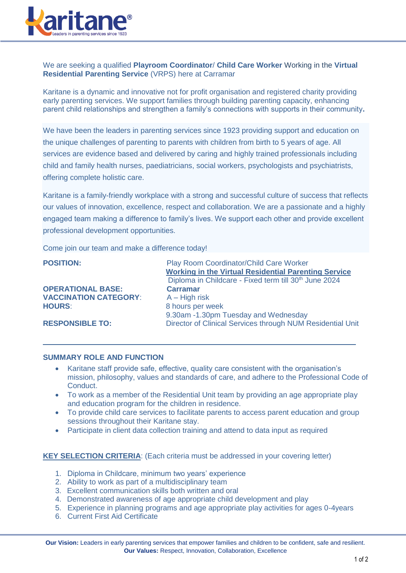

We are seeking a qualified **Playroom Coordinator**/ **Child Care Worker** Working in the **Virtual Residential Parenting Service** (VRPS) here at Carramar

Karitane is a dynamic and innovative not for profit organisation and registered charity providing early parenting services. We support families through building parenting capacity, enhancing parent child relationships and strengthen a family's connections with supports in their community**.**

We have been the leaders in parenting services since 1923 providing support and education on the unique challenges of parenting to parents with children from birth to 5 years of age. All services are evidence based and delivered by caring and highly trained professionals including child and family health nurses, paediatricians, social workers, psychologists and psychiatrists, offering complete holistic care.

Karitane is a family-friendly workplace with a strong and successful culture of success that reflects our values of innovation, excellence, respect and collaboration. We are a passionate and a highly engaged team making a difference to family's lives. We support each other and provide excellent professional development opportunities.

Come join our team and make a difference today!

| <b>POSITION:</b>             | Play Room Coordinator/Child Care Worker                           |
|------------------------------|-------------------------------------------------------------------|
|                              | <b>Working in the Virtual Residential Parenting Service</b>       |
|                              | Diploma in Childcare - Fixed term till 30 <sup>th</sup> June 2024 |
| <b>OPERATIONAL BASE:</b>     | <b>Carramar</b>                                                   |
| <b>VACCINATION CATEGORY:</b> | $A - High risk$                                                   |
| <b>HOURS:</b>                | 8 hours per week                                                  |
|                              | 9.30am -1.30pm Tuesday and Wednesday                              |
| <b>RESPONSIBLE TO:</b>       | Director of Clinical Services through NUM Residential Unit        |

#### **SUMMARY ROLE AND FUNCTION**

- Karitane staff provide safe, effective, quality care consistent with the organisation's mission, philosophy, values and standards of care, and adhere to the Professional Code of Conduct.
- To work as a member of the Residential Unit team by providing an age appropriate play and education program for the children in residence.
- To provide child care services to facilitate parents to access parent education and group sessions throughout their Karitane stay.
- Participate in client data collection training and attend to data input as required

#### **KEY SELECTION CRITERIA:** (Each criteria must be addressed in your covering letter)

- 1. Diploma in Childcare, minimum two years' experience
- 2. Ability to work as part of a multidisciplinary team
- 3. Excellent communication skills both written and oral
- 4. Demonstrated awareness of age appropriate child development and play
- 5. Experience in planning programs and age appropriate play activities for ages 0-4years
- 6. Current First Aid Certificate